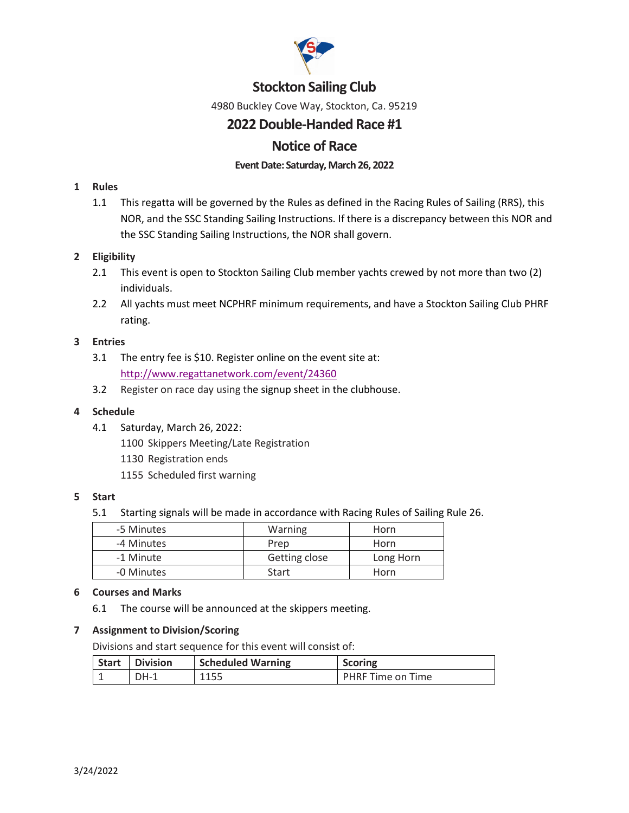

# **Stockton Sailing Club**

4980 Buckley Cove Way, Stockton, Ca. 95219

# **2022Double-Handed Race #1**

# **Notice of Race**

## Event Date: Saturday, March 26, 2022

## **1 Rules**

1.1 This regatta will be governed by the Rules as defined in the Racing Rules of Sailing (RRS), this NOR, and the SSC Standing Sailing Instructions. If there is a discrepancy between this NOR and the SSC Standing Sailing Instructions, the NOR shall govern.

## **2 Eligibility**

- 2.1 This event is open to Stockton Sailing Club member yachts crewed by not more than two (2) individuals.
- 2.2 All yachts must meet NCPHRF minimum requirements, and have a Stockton Sailing Club PHRF rating.

#### **3 Entries**

- 3.1 The entry fee is \$10. Register online on the event site at: <http://www.regattanetwork.com/event/24360>
- 3.2 Register on race day using the signup sheet in the clubhouse.

### **4 Schedule**

- 4.1 Saturday, March 26, 2022:
	- 1100 Skippers Meeting/Late Registration
	- 1130 Registration ends
	- 1155 Scheduled first warning

#### **5 Start**

5.1 Starting signals will be made in accordance with Racing Rules of Sailing Rule 26.

| -5 Minutes | Warning       | Horn      |
|------------|---------------|-----------|
| -4 Minutes | Prep          | Horn      |
| -1 Minute  | Getting close | Long Horn |
| -0 Minutes | Start         | Horn      |

#### **6 Courses and Marks**

6.1 The course will be announced at the skippers meeting.

## **7 Assignment to Division/Scoring**

Divisions and start sequence for this event will consist of:

| <b>Start Division</b> | <b>Scheduled Warning</b> | <b>Scoring</b>    |
|-----------------------|--------------------------|-------------------|
| $DH-1$                | 1155                     | PHRF Time on Time |